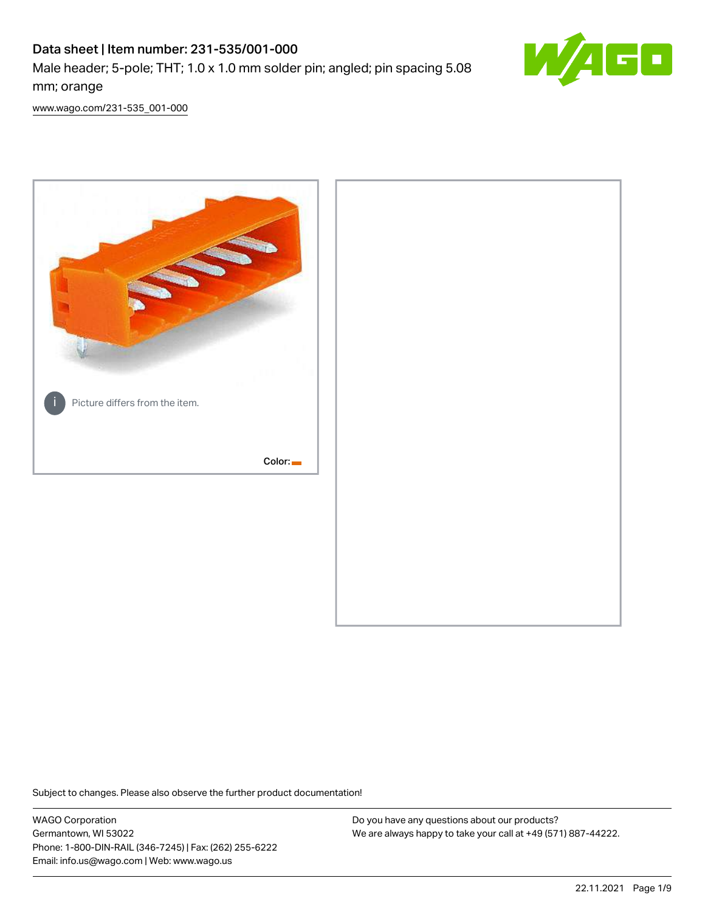# Data sheet | Item number: 231-535/001-000 Male header; 5-pole; THT; 1.0 x 1.0 mm solder pin; angled; pin spacing 5.08 mm; orange



[www.wago.com/231-535\\_001-000](http://www.wago.com/231-535_001-000)



Subject to changes. Please also observe the further product documentation!

WAGO Corporation Germantown, WI 53022 Phone: 1-800-DIN-RAIL (346-7245) | Fax: (262) 255-6222 Email: info.us@wago.com | Web: www.wago.us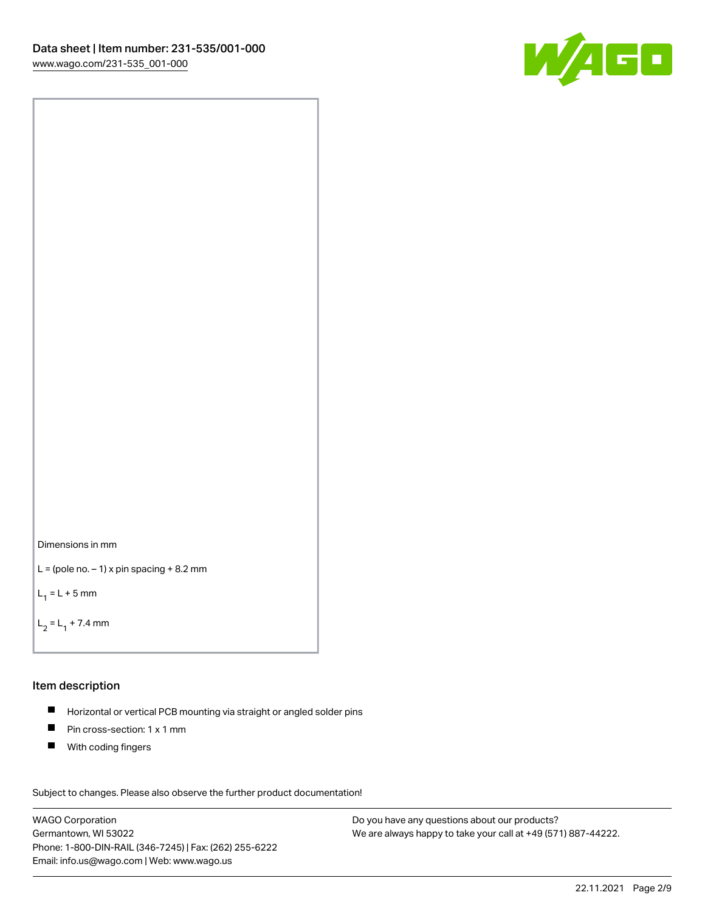



```
L = (pole no. -1) x pin spacing +8.2 mm
```
 $L_1 = L + 5$  mm

```
L_2 = L_1 + 7.4 mm
```
### Item description

- Horizontal or vertical PCB mounting via straight or angled solder pins  $\blacksquare$
- $\blacksquare$ Pin cross-section: 1 x 1 mm
- $\blacksquare$ With coding fingers

Subject to changes. Please also observe the further product documentation! Data

WAGO Corporation Germantown, WI 53022 Phone: 1-800-DIN-RAIL (346-7245) | Fax: (262) 255-6222 Email: info.us@wago.com | Web: www.wago.us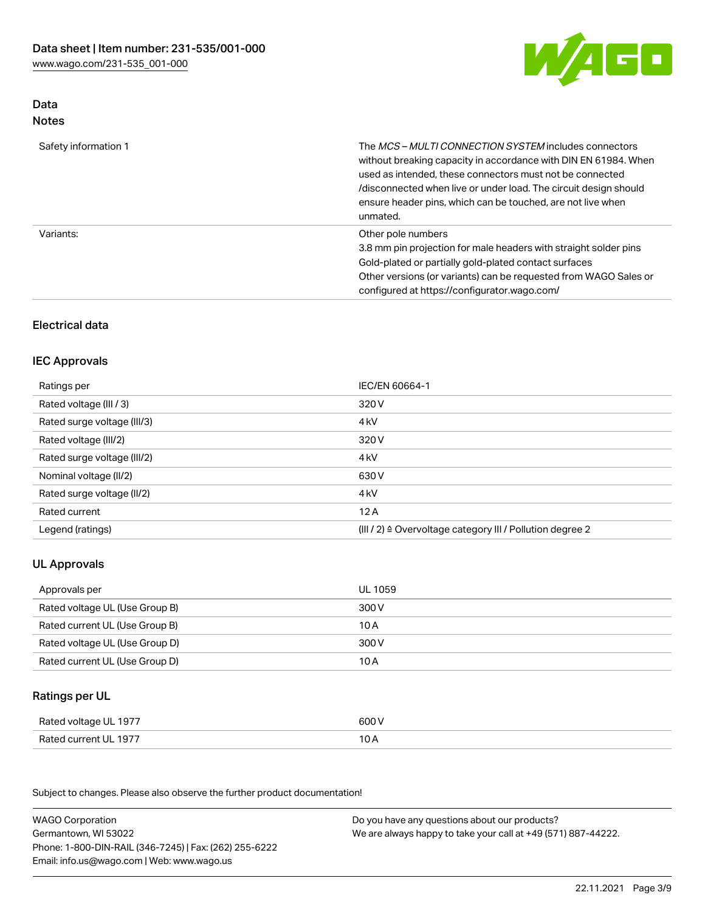

## Data Notes

| Safety information 1 | The <i>MCS – MULTI CONNECTION SYSTEM</i> includes connectors<br>without breaking capacity in accordance with DIN EN 61984. When<br>used as intended, these connectors must not be connected<br>/disconnected when live or under load. The circuit design should<br>ensure header pins, which can be touched, are not live when<br>unmated. |
|----------------------|--------------------------------------------------------------------------------------------------------------------------------------------------------------------------------------------------------------------------------------------------------------------------------------------------------------------------------------------|
| Variants:            | Other pole numbers<br>3.8 mm pin projection for male headers with straight solder pins<br>Gold-plated or partially gold-plated contact surfaces<br>Other versions (or variants) can be requested from WAGO Sales or<br>configured at https://configurator.wago.com/                                                                        |

# Electrical data

## IEC Approvals

| Ratings per                 | IEC/EN 60664-1                                                        |
|-----------------------------|-----------------------------------------------------------------------|
| Rated voltage (III / 3)     | 320 V                                                                 |
| Rated surge voltage (III/3) | 4 <sub>k</sub> V                                                      |
| Rated voltage (III/2)       | 320 V                                                                 |
| Rated surge voltage (III/2) | 4 <sub>kV</sub>                                                       |
| Nominal voltage (II/2)      | 630 V                                                                 |
| Rated surge voltage (II/2)  | 4 <sub>k</sub> V                                                      |
| Rated current               | 12A                                                                   |
| Legend (ratings)            | $(III / 2)$ $\triangle$ Overvoltage category III / Pollution degree 2 |

# UL Approvals

| Approvals per                  | UL 1059 |
|--------------------------------|---------|
| Rated voltage UL (Use Group B) | 300 V   |
| Rated current UL (Use Group B) | 10 A    |
| Rated voltage UL (Use Group D) | 300 V   |
| Rated current UL (Use Group D) | 10 A    |

## Ratings per UL

| Rated voltage UL 1977 | 600 V |
|-----------------------|-------|
| Rated current UL 1977 |       |

| <b>WAGO Corporation</b>                                | Do you have any questions about our products?                 |
|--------------------------------------------------------|---------------------------------------------------------------|
| Germantown, WI 53022                                   | We are always happy to take your call at +49 (571) 887-44222. |
| Phone: 1-800-DIN-RAIL (346-7245)   Fax: (262) 255-6222 |                                                               |
| Email: info.us@wago.com   Web: www.wago.us             |                                                               |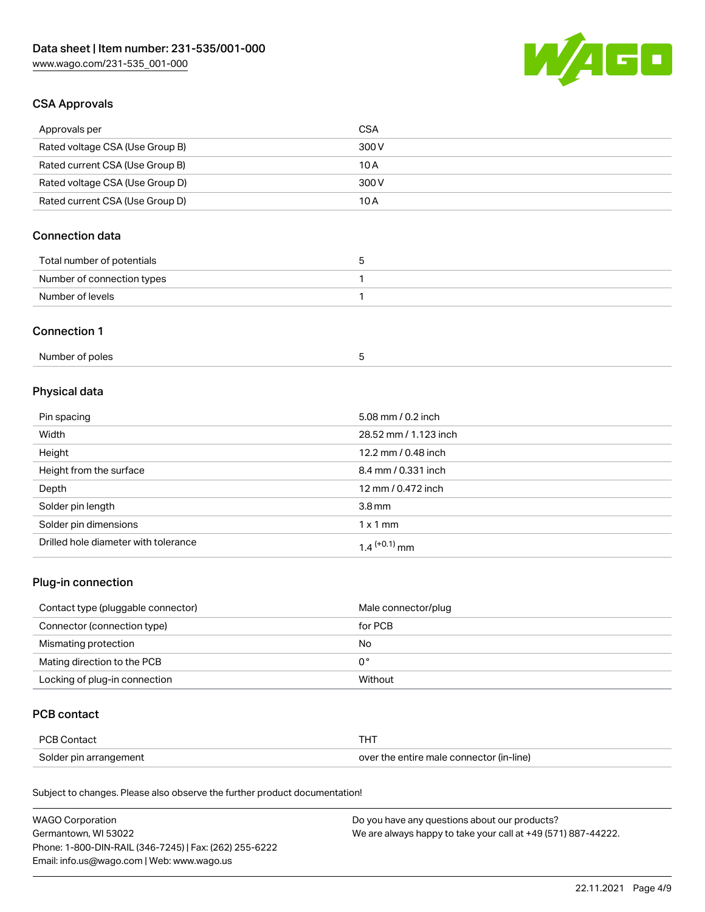

## CSA Approvals

| Approvals per                   | CSA   |
|---------------------------------|-------|
| Rated voltage CSA (Use Group B) | 300 V |
| Rated current CSA (Use Group B) | 10 A  |
| Rated voltage CSA (Use Group D) | 300 V |
| Rated current CSA (Use Group D) | 10 A  |

# Connection data

| Total number of potentials |  |
|----------------------------|--|
| Number of connection types |  |
| Number of levels           |  |

#### Connection 1

| Number of poles |  |
|-----------------|--|
|                 |  |

# Physical data

| Pin spacing                          | 5.08 mm / 0.2 inch    |
|--------------------------------------|-----------------------|
| Width                                | 28.52 mm / 1.123 inch |
| Height                               | 12.2 mm / 0.48 inch   |
| Height from the surface              | 8.4 mm / 0.331 inch   |
| Depth                                | 12 mm / 0.472 inch    |
| Solder pin length                    | 3.8 <sub>mm</sub>     |
| Solder pin dimensions                | $1 \times 1$ mm       |
| Drilled hole diameter with tolerance | $1.4$ $(+0.1)$ mm     |

# Plug-in connection

| Contact type (pluggable connector) | Male connector/plug |
|------------------------------------|---------------------|
| Connector (connection type)        | for PCB             |
| Mismating protection               | No                  |
| Mating direction to the PCB        | 0°                  |
| Locking of plug-in connection      | Without             |

## PCB contact

| PCB Contact            | тнт                                      |
|------------------------|------------------------------------------|
| Solder pin arrangement | over the entire male connector (in-line) |

| <b>WAGO Corporation</b>                                | Do you have any questions about our products?                 |
|--------------------------------------------------------|---------------------------------------------------------------|
| Germantown, WI 53022                                   | We are always happy to take your call at +49 (571) 887-44222. |
| Phone: 1-800-DIN-RAIL (346-7245)   Fax: (262) 255-6222 |                                                               |
| Email: info.us@wago.com   Web: www.wago.us             |                                                               |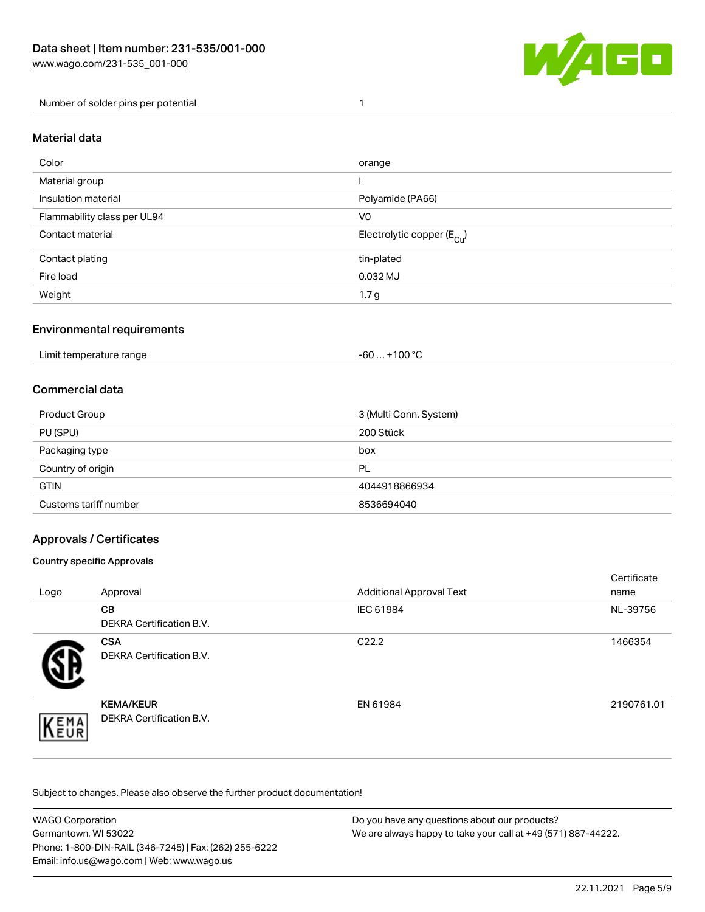

Number of solder pins per potential 1

#### Material data

| Color                       | orange                                 |
|-----------------------------|----------------------------------------|
| Material group              |                                        |
| Insulation material         | Polyamide (PA66)                       |
| Flammability class per UL94 | V <sub>0</sub>                         |
| Contact material            | Electrolytic copper (E <sub>Cu</sub> ) |
| Contact plating             | tin-plated                             |
| Fire load                   | 0.032 MJ                               |
| Weight                      | 1.7 <sub>g</sub>                       |

## Environmental requirements

Limit temperature range  $-60... +100$  °C

## Commercial data

| Product Group         | 3 (Multi Conn. System) |
|-----------------------|------------------------|
| PU (SPU)              | 200 Stück              |
| Packaging type        | box                    |
| Country of origin     | PL                     |
| <b>GTIN</b>           | 4044918866934          |
| Customs tariff number | 8536694040             |

## Approvals / Certificates

#### Country specific Approvals

| Logo        | Approval                                            | <b>Additional Approval Text</b> | Certificate<br>name |
|-------------|-----------------------------------------------------|---------------------------------|---------------------|
|             | <b>CB</b><br><b>DEKRA Certification B.V.</b>        | IEC 61984                       | NL-39756            |
|             | <b>CSA</b><br>DEKRA Certification B.V.              | C <sub>22.2</sub>               | 1466354             |
| EMA<br>NEUR | <b>KEMA/KEUR</b><br><b>DEKRA Certification B.V.</b> | EN 61984                        | 2190761.01          |

| <b>WAGO Corporation</b>                                | Do you have any questions about our products?                 |
|--------------------------------------------------------|---------------------------------------------------------------|
| Germantown, WI 53022                                   | We are always happy to take your call at +49 (571) 887-44222. |
| Phone: 1-800-DIN-RAIL (346-7245)   Fax: (262) 255-6222 |                                                               |
| Email: info.us@wago.com   Web: www.wago.us             |                                                               |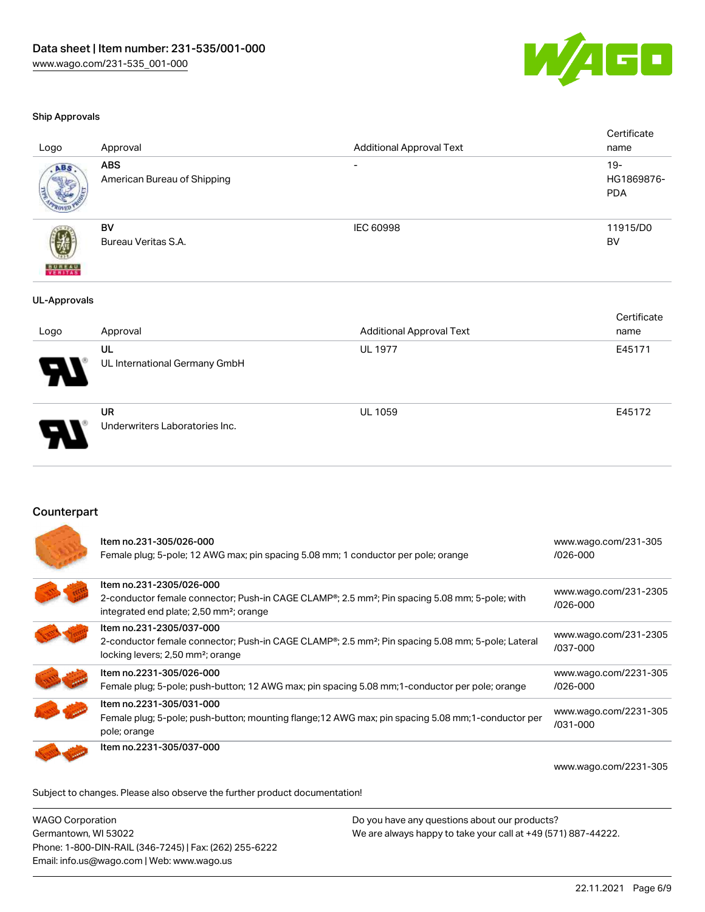

#### Ship Approvals

| Logo                     | Approval                                  | <b>Additional Approval Text</b> | Certificate<br>name                |
|--------------------------|-------------------------------------------|---------------------------------|------------------------------------|
| ABS.                     | <b>ABS</b><br>American Bureau of Shipping | $\overline{\phantom{a}}$        | $19 -$<br>HG1869876-<br><b>PDA</b> |
| <b>BUREAU</b><br>VERITAS | BV<br>Bureau Veritas S.A.                 | <b>IEC 60998</b>                | 11915/D0<br>BV                     |
| <b>UL-Approvals</b>      |                                           |                                 |                                    |
|                          |                                           |                                 | Certificate                        |
| Logo                     | Approval                                  | <b>Additional Approval Text</b> | name                               |
|                          | UL<br>UL International Germany GmbH       | <b>UL 1977</b>                  | E45171                             |
|                          | UR<br>Underwriters Laboratories Inc.      | UL 1059                         | E45172                             |

## Counterpart

| Item no.231-305/026-000<br>Female plug; 5-pole; 12 AWG max; pin spacing 5.08 mm; 1 conductor per pole; orange                                                                                              | www.wago.com/231-305<br>/026-000      |
|------------------------------------------------------------------------------------------------------------------------------------------------------------------------------------------------------------|---------------------------------------|
| Item no.231-2305/026-000<br>2-conductor female connector; Push-in CAGE CLAMP <sup>®</sup> ; 2.5 mm <sup>2</sup> ; Pin spacing 5.08 mm; 5-pole; with<br>integrated end plate; 2,50 mm <sup>2</sup> ; orange | www.wago.com/231-2305<br>/026-000     |
| Item no.231-2305/037-000<br>2-conductor female connector; Push-in CAGE CLAMP®; 2.5 mm <sup>2</sup> ; Pin spacing 5.08 mm; 5-pole; Lateral<br>locking levers; 2,50 mm <sup>2</sup> ; orange                 | www.wago.com/231-2305<br>/037-000     |
| Item no.2231-305/026-000<br>Female plug; 5-pole; push-button; 12 AWG max; pin spacing 5.08 mm; 1-conductor per pole; orange                                                                                | www.wago.com/2231-305<br>/026-000     |
| Item no.2231-305/031-000<br>Female plug; 5-pole; push-button; mounting flange; 12 AWG max; pin spacing 5.08 mm; 1-conductor per<br>pole; orange                                                            | www.wago.com/2231-305<br>$/031 - 000$ |
| Item no.2231-305/037-000                                                                                                                                                                                   | www.wago.com/2231-305                 |

Subject to changes. Please also observe the further product documentation!

WAGO Corporation Germantown, WI 53022 Phone: 1-800-DIN-RAIL (346-7245) | Fax: (262) 255-6222 Email: info.us@wago.com | Web: www.wago.us Do you have any questions about our products? We are always happy to take your call at +49 (571) 887-44222.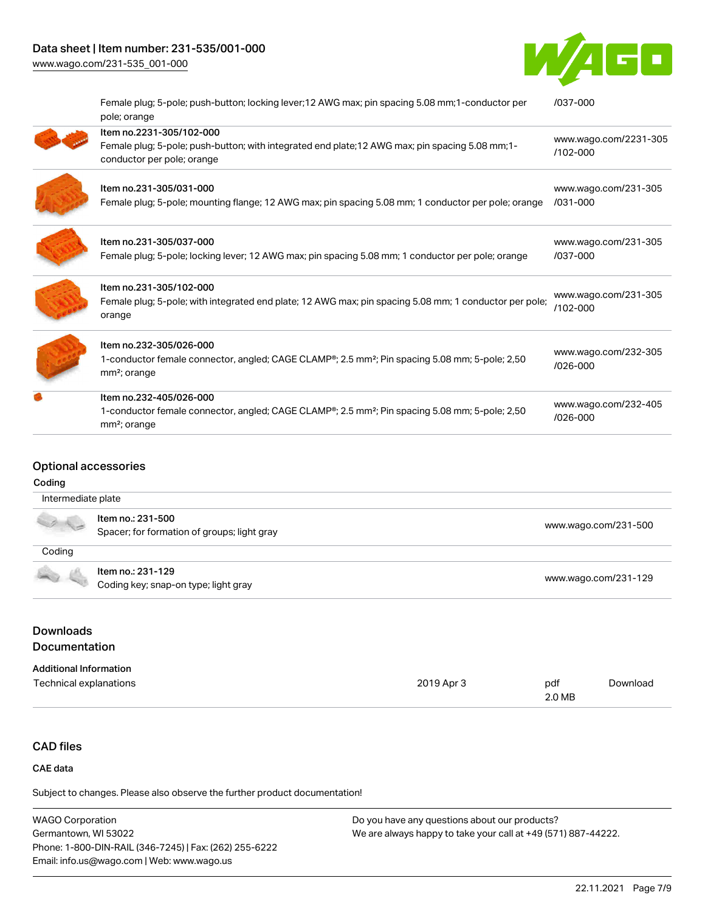# Data sheet | Item number: 231-535/001-000

[www.wago.com/231-535\\_001-000](http://www.wago.com/231-535_001-000)



| Female plug; 5-pole; push-button; locking lever; 12 AWG max; pin spacing 5.08 mm; 1-conductor per<br>pole; orange                                   | /037-000                          |
|-----------------------------------------------------------------------------------------------------------------------------------------------------|-----------------------------------|
| Item no.2231-305/102-000                                                                                                                            |                                   |
| Female plug; 5-pole; push-button; with integrated end plate; 12 AWG max; pin spacing 5.08 mm; 1-<br>conductor per pole; orange                      | www.wago.com/2231-305<br>/102-000 |
| Item no.231-305/031-000                                                                                                                             | www.wago.com/231-305              |
| Female plug; 5-pole; mounting flange; 12 AWG max; pin spacing 5.08 mm; 1 conductor per pole; orange                                                 | /031-000                          |
| Item no.231-305/037-000                                                                                                                             | www.wago.com/231-305              |
| Female plug; 5-pole; locking lever; 12 AWG max; pin spacing 5.08 mm; 1 conductor per pole; orange                                                   | /037-000                          |
| Item no.231-305/102-000                                                                                                                             |                                   |
| Female plug; 5-pole; with integrated end plate; 12 AWG max; pin spacing 5.08 mm; 1 conductor per pole;<br>orange                                    | www.wago.com/231-305<br>/102-000  |
| Item no.232-305/026-000                                                                                                                             |                                   |
| 1-conductor female connector, angled; CAGE CLAMP®; 2.5 mm <sup>2</sup> ; Pin spacing 5.08 mm; 5-pole; 2,50<br>mm <sup>2</sup> ; orange              | www.wago.com/232-305<br>/026-000  |
| Item no.232-405/026-000                                                                                                                             |                                   |
| 1-conductor female connector, angled; CAGE CLAMP <sup>®</sup> ; 2.5 mm <sup>2</sup> ; Pin spacing 5.08 mm; 5-pole; 2,50<br>mm <sup>2</sup> ; orange | www.wago.com/232-405<br>/026-000  |

#### Optional accessories

# Coding

| Intermediate plate                         |                                             |                      |
|--------------------------------------------|---------------------------------------------|----------------------|
|                                            | Item no.: 231-500                           |                      |
|                                            | Spacer; for formation of groups; light gray | www.wago.com/231-500 |
| Coding                                     |                                             |                      |
|                                            | Item no.: 231-129                           |                      |
| <b>Contract Contract Contract Contract</b> | Coding key; snap-on type; light gray        | www.wago.com/231-129 |

# Downloads Documentation

# Additional Information

| Technical explanations | 2019 Apr 3 | pdf    | Download |
|------------------------|------------|--------|----------|
|                        |            | 2.0 MB |          |

# CAD files

### CAE data

| <b>WAGO Corporation</b>                                | Do you have any questions about our products?                 |
|--------------------------------------------------------|---------------------------------------------------------------|
| Germantown, WI 53022                                   | We are always happy to take your call at +49 (571) 887-44222. |
| Phone: 1-800-DIN-RAIL (346-7245)   Fax: (262) 255-6222 |                                                               |
| Email: info.us@wago.com   Web: www.wago.us             |                                                               |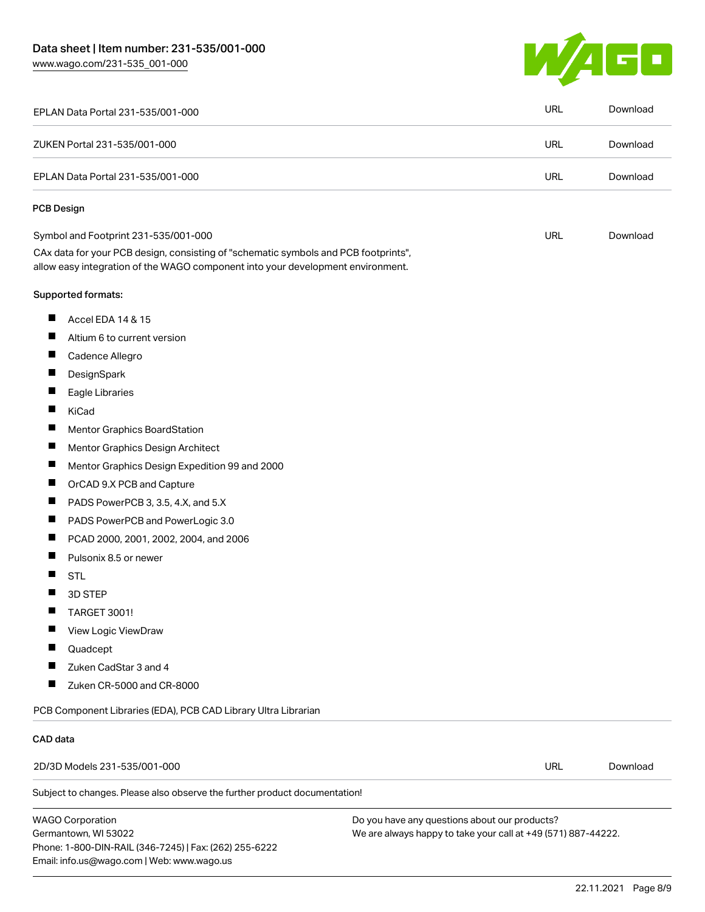[www.wago.com/231-535\\_001-000](http://www.wago.com/231-535_001-000)



|                          | EPLAN Data Portal 231-535/001-000                                                                                                                                      | URL        | Download |
|--------------------------|------------------------------------------------------------------------------------------------------------------------------------------------------------------------|------------|----------|
|                          | ZUKEN Portal 231-535/001-000                                                                                                                                           | <b>URL</b> | Download |
|                          | EPLAN Data Portal 231-535/001-000                                                                                                                                      | URL        | Download |
| <b>PCB Design</b>        |                                                                                                                                                                        |            |          |
|                          | Symbol and Footprint 231-535/001-000                                                                                                                                   | URL        | Download |
|                          | CAx data for your PCB design, consisting of "schematic symbols and PCB footprints",<br>allow easy integration of the WAGO component into your development environment. |            |          |
|                          | Supported formats:                                                                                                                                                     |            |          |
| ш                        | Accel EDA 14 & 15                                                                                                                                                      |            |          |
| Ш                        | Altium 6 to current version                                                                                                                                            |            |          |
| $\overline{\phantom{a}}$ | Cadence Allegro                                                                                                                                                        |            |          |
| $\overline{\phantom{a}}$ | DesignSpark                                                                                                                                                            |            |          |
| ш                        | Eagle Libraries                                                                                                                                                        |            |          |
| п                        | KiCad                                                                                                                                                                  |            |          |
| L                        | Mentor Graphics BoardStation                                                                                                                                           |            |          |
| $\overline{\phantom{a}}$ | Mentor Graphics Design Architect                                                                                                                                       |            |          |
| $\overline{\phantom{a}}$ | Mentor Graphics Design Expedition 99 and 2000                                                                                                                          |            |          |
| $\overline{\phantom{a}}$ | OrCAD 9.X PCB and Capture                                                                                                                                              |            |          |
| Ш                        | PADS PowerPCB 3, 3.5, 4.X, and 5.X                                                                                                                                     |            |          |
| $\overline{\phantom{a}}$ | PADS PowerPCB and PowerLogic 3.0                                                                                                                                       |            |          |
| Ш                        | PCAD 2000, 2001, 2002, 2004, and 2006                                                                                                                                  |            |          |
| $\overline{\phantom{a}}$ | Pulsonix 8.5 or newer                                                                                                                                                  |            |          |
|                          | <b>STL</b>                                                                                                                                                             |            |          |
|                          | 3D STEP                                                                                                                                                                |            |          |
|                          | TARGET 3001!                                                                                                                                                           |            |          |
| ш                        | View Logic ViewDraw                                                                                                                                                    |            |          |
| ш                        | Quadcept                                                                                                                                                               |            |          |
|                          | Zuken CadStar 3 and 4                                                                                                                                                  |            |          |
| $\overline{\phantom{a}}$ | Zuken CR-5000 and CR-8000                                                                                                                                              |            |          |
|                          | PCB Component Libraries (EDA), PCB CAD Library Ultra Librarian                                                                                                         |            |          |
| CAD data                 |                                                                                                                                                                        |            |          |
|                          | 2D/3D Models 231-535/001-000                                                                                                                                           | <b>URL</b> | Download |
|                          | Subject to changes. Please also observe the further product documentation!                                                                                             |            |          |

WAGO Corporation Germantown, WI 53022 Phone: 1-800-DIN-RAIL (346-7245) | Fax: (262) 255-6222 Email: info.us@wago.com | Web: www.wago.us